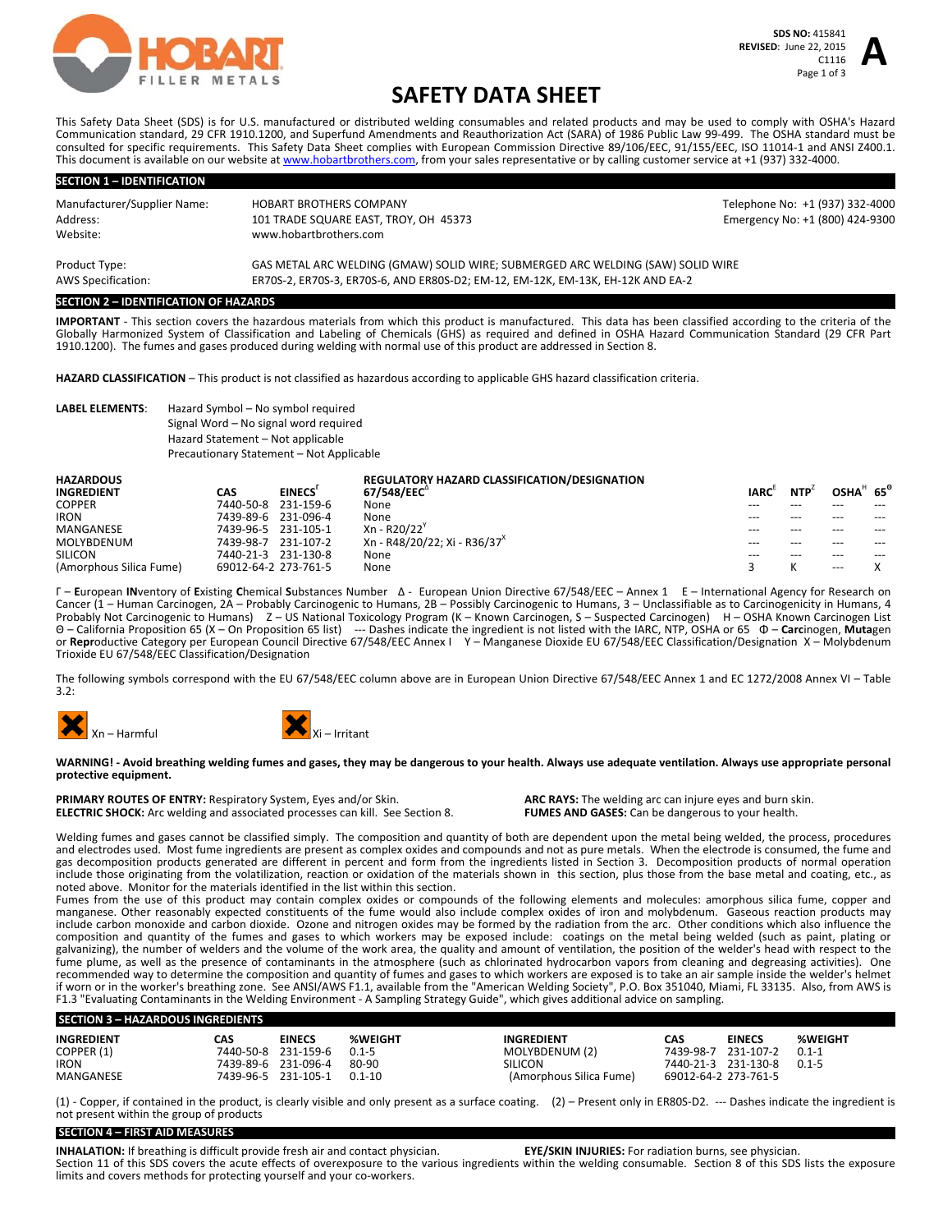

# **SAFETY DATA SHEET**

This Safety Data Sheet (SDS) is for U.S. manufactured or distributed welding consumables and related products and may be used to comply with OSHA's Hazard Communication standard, 29 CFR 1910.1200, and Superfund Amendments and Reauthorization Act (SARA) of 1986 Public Law 99‐499. The OSHA standard must be consulted for specific requirements. This Safety Data Sheet complies with European Commission Directive 89/106/EEC, 91/155/EEC, ISO 11014‐1 and ANSI Z400.1. This document is available on our website at www.hobartbrothers.com, from your sales representative or by calling customer service at +1 (937) 332-4000.

| <b>SECTION 1 - IDENTIFICATION</b> |                                                                                 |                                 |  |  |
|-----------------------------------|---------------------------------------------------------------------------------|---------------------------------|--|--|
| Manufacturer/Supplier Name:       | <b>HOBART BROTHERS COMPANY</b>                                                  | Telephone No: +1 (937) 332-4000 |  |  |
| Address:                          | 101 TRADE SQUARE EAST, TROY, OH 45373                                           | Emergency No: +1 (800) 424-9300 |  |  |
| Website:                          | www.hobartbrothers.com                                                          |                                 |  |  |
| Product Type:                     | GAS METAL ARC WELDING (GMAW) SOLID WIRE; SUBMERGED ARC WELDING (SAW) SOLID WIRE |                                 |  |  |
| <b>AWS Specification:</b>         | ER70S-2, ER70S-3, ER70S-6, AND ER80S-D2; EM-12, EM-12K, EM-13K, EH-12K AND EA-2 |                                 |  |  |

#### **SECTION 2 – IDENTIFICATION OF HAZARDS**

**IMPORTANT** ‐ This section covers the hazardous materials from which this product is manufactured. This data has been classified according to the criteria of the Globally Harmonized System of Classification and Labeling of Chemicals (GHS) as required and defined in OSHA Hazard Communication Standard (29 CFR Part 1910.1200). The fumes and gases produced during welding with normal use of this product are addressed in Section 8.

**HAZARD CLASSIFICATION** – This product is not classified as hazardous according to applicable GHS hazard classification criteria.

## **LABEL ELEMENTS**: Hazard Symbol – No symbol required Signal Word – No signal word required Hazard Statement – Not applicable Precautionary Statement – Not Applicable

| <b>HAZARDOUS</b>        |                      |           | <b>REGULATORY HAZARD CLASSIFICATION/DESIGNATION</b> |             |            |                      |       |
|-------------------------|----------------------|-----------|-----------------------------------------------------|-------------|------------|----------------------|-------|
| <b>INGREDIENT</b>       | CAS                  | EINECS'   | 67/548/EEC <sup>"</sup>                             | <b>IARC</b> | <b>NTP</b> | OSHA $h$ 65 $^\circ$ |       |
| <b>COPPER</b>           | 7440-50-8            | 231-159-6 | None                                                | ---         |            |                      |       |
| <b>IRON</b>             | 7439-89-6 231-096-4  |           | None                                                | ---         | $---$      | $---$                | $---$ |
| MANGANESE               | 7439-96-5            | 231-105-1 | Xn - R20/22                                         | ---         | ---        | ---                  | $---$ |
| MOLYBDENUM              | 7439-98-7            | 231-107-2 | Xn - R48/20/22: Xi - R36/37 <sup>x</sup>            | $---$       | $---$      | $---$                | ---   |
| <b>SILICON</b>          | 7440-21-3            | 231-130-8 | None                                                | $---$       | $---$      | $---$                | $---$ |
| (Amorphous Silica Fume) | 69012-64-2 273-761-5 |           | None                                                |             |            | $---$                |       |

Γ – **E**uropean **IN**ventory of **E**xisting **C**hemical **S**ubstances Number Δ ‐ European Union Directive 67/548/EEC – Annex 1 Ε – International Agency for Research on Cancer (1 – Human Carcinogen, 2A – Probably Carcinogenic to Humans, 2B – Possibly Carcinogenic to Humans, 3 – Unclassifiable as to Carcinogenicity in Humans, 4<br>Probably Not Carcinogenic to Humans) Z – US National Toxico Θ – California Proposition 65 (X – On Proposition 65 list) ‐‐‐ Dashes indicate the ingredient is not listed with the IARC, NTP, OSHA or 65 Φ – **Carc**inogen, **Muta**gen or **Repr**oductive Category per European Council Directive 67/548/EEC Annex I Y – Manganese Dioxide EU 67/548/EEC Classification/Designation X – Molybdenum<br>Trioxide EU 67/548/EEC Classification/Designation

The following symbols correspond with the EU 67/548/EEC column above are in European Union Directive 67/548/EEC Annex 1 and EC 1272/2008 Annex VI – Table 3.2:





#### WARNING! - Avoid breathing welding fumes and gases, they may be dangerous to your health. Always use adequate ventilation. Always use appropriate personal **protective equipment.**

**PRIMARY ROUTES OF ENTRY:** Respiratory System, Eyes and/or Skin. **ARC** RAYS: The welding arc can injure eyes and burn skin. **ELECTRIC SHOCK:** Arc welding and associated processes can kill. See Section 8. **FUMES AND GASES: ELECTRIC SHOCK:** Arc welding and associated processes can kill. See Section 8.

Welding fumes and gases cannot be classified simply. The composition and quantity of both are dependent upon the metal being welded, the process, procedures and electrodes used. Most fume ingredients are present as complex oxides and compounds and not as pure metals. When the electrode is consumed, the fume and gas decomposition products generated are different in percent and form from the ingredients listed in Section 3. Decomposition products of normal operation include those originating from the volatilization, reaction or oxidation of the materials shown in this section, plus those from the base metal and coating, etc., as noted above. Monitor for the materials identified in the list within this section.

Fumes from the use of this product may contain complex oxides or compounds of the following elements and molecules: amorphous silica fume, copper and manganese. Other reasonably expected constituents of the fume would also include complex oxides of iron and molybdenum. Gaseous reaction products may include carbon monoxide and carbon dioxide. Ozone and nitrogen oxides may be formed by the radiation from the arc. Other conditions which also influence the composition and quantity of the fumes and gases to which workers may be exposed include: coatings on the metal being welded (such as paint, plating or<br>galvanizing), the number of welders and the volume of the work area, th fume plume, as well as the presence of contaminants in the atmosphere (such as chlorinated hydrocarbon vapors from cleaning and degreasing activities). One recommended way to determine the composition and quantity of fumes and gases to which workers are exposed is to take an air sample inside the welder's helmet<br>if worn or in the worker's breathing zone. See ANSI/AWS F1.1, av F1.3 "Evaluating Contaminants in the Welding Environment ‐ A Sampling Strategy Guide", which gives additional advice on sampling.

### **SECTION 3 – HAZARDOUS INGREDIENTS**

| <b>INGREDIENT</b> | CAS                 | <b>EINECS</b> | <b>%WEIGHT</b> | <b>INGREDIENT</b>       | CAS                  | <b>EINECS</b> | <b>%WEIGHT</b> |
|-------------------|---------------------|---------------|----------------|-------------------------|----------------------|---------------|----------------|
| COPPER (1)        | 7440-50-8 231-159-6 |               | $0.1 - 5$      | MOLYBDENUM (2)          | 7439-98-7            | 231-107-2     | $0.1 - 1$      |
| <b>IRON</b>       | 7439-89-6 231-096-4 |               | 80-90          | SILICON                 | 7440-21-3 231-130-8  |               | $0.1 - 5$      |
| MANGANESE         | 7439-96-5 231-105-1 |               | $0.1 - 10$     | (Amorphous Silica Fume) | 69012-64-2 273-761-5 |               |                |

(1) ‐ Copper, if contained in the product, is clearly visible and only present as a surface coating. (2) – Present only in ER80S‐D2. ‐‐‐ Dashes indicate the ingredient is not present within the group of products

# **SECTION 4 – FIRST AID MEASURES**

**INHALATION:** If breathing is difficult provide fresh air and contact physician. **EYE/SKIN INJURIES:** For radiation burns, see physician. Section 11 of this SDS covers the acute effects of overexposure to the various ingredients within the welding consumable. Section 8 of this SDS lists the exposure limits and covers methods for protecting yourself and your co-workers.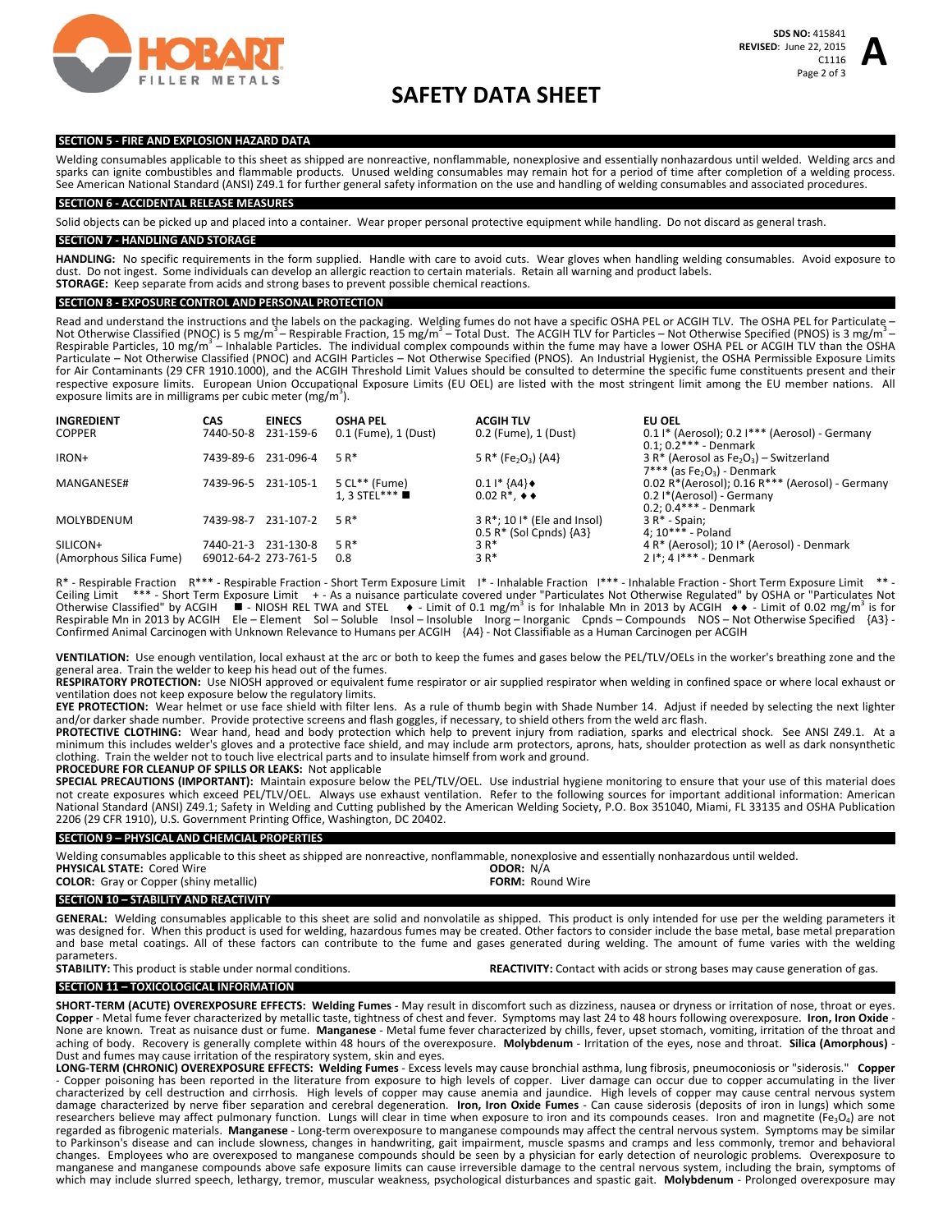

**A**

# **SAFETY DATA SHEET**

#### **SECTION 5 ‐ FIRE AND EXPLOSION HAZARD DATA**

Welding consumables applicable to this sheet as shipped are nonreactive, nonflammable, nonexplosive and essentially nonhazardous until welded. Welding arcs and sparks can ignite combustibles and flammable products. Unused welding consumables may remain hot for a period of time after completion of a welding process.<br>See American National Standard (ANSI) Z49.1 for further general s

# **SECTION 6 ‐ ACCIDENTAL RELEASE MEASURES**

Solid objects can be picked up and placed into a container. Wear proper personal protective equipment while handling. Do not discard as general trash.

#### **SECTION 7 ‐ HANDLING AND STORAGE**

HANDLING: No specific requirements in the form supplied. Handle with care to avoid cuts. Wear gloves when handling welding consumables. Avoid exposure to dust. Do not ingest. Some individuals can develop an allergic reaction to certain materials. Retain all warning and product labels. **STORAGE:** Keep separate from acids and strong bases to prevent possible chemical reactions.

### **SECTION 8 ‐ EXPOSURE CONTROL AND PERSONAL PROTECTION**

Read and understand the instructions and the labels on the packaging. Welding fumes do not have a specific OSHA PEL or ACGIH TLV. The OSHA PEL for Particulate -Not Otherwise Classified (PNOC) is 5 mg/m<sup>3</sup> – Respirable Fraction, 15 mg/m<sup>3</sup> – Total Dust. The ACGIH TLV for Particles – Not Otherwise Specified (PNOS) is 3 mg/m<sup>3</sup> – Respirable Particles. 10 mg/m<sup>3</sup> – Inhalable Particle respective exposure limits. European Union Occupational Exposure Limits (EU OEL) are listed with the most stringent limit among the EU member nations. All exposure limits are in milligrams per cubic meter (mg/m<sup>3</sup>).

| <b>INGREDIENT</b><br><b>COPPER</b>  | CAS<br>7440-50-8                            | <b>EINECS</b><br>231-159-6 | <b>OSHA PEL</b><br>0.1 (Fume), 1 (Dust) | <b>ACGIH TLV</b><br>0.2 (Fume), 1 (Dust)                          | EU OEL<br>$0.1$ I* (Aerosol); 0.2 I*** (Aerosol) - Germany<br>$0.1:0.2***$ - Denmark                      |
|-------------------------------------|---------------------------------------------|----------------------------|-----------------------------------------|-------------------------------------------------------------------|-----------------------------------------------------------------------------------------------------------|
| IRON+                               | 7439-89-6                                   | 231-096-4                  | $5R*$                                   | $5 R*$ (Fe <sub>2</sub> O <sub>3</sub> ) {A4}                     | 3 R* (Aerosol as $Fe2O3$ ) – Switzerland<br>$7***$ (as Fe <sub>2</sub> O <sub>3</sub> ) - Denmark         |
| MANGANESE#                          | 7439-96-5                                   | 231-105-1                  | 5 CL** (Fume)<br>1.3 STEL***            | $0.11*$ {A4} $\bullet$<br>$0.02 R^*$ , $\leftrightarrow$          | 0.02 R*(Aerosol); $0.16 R***$ (Aerosol) - Germany<br>0.2 I*(Aerosol) - Germany<br>$0.2: 0.4***$ - Denmark |
| <b>MOLYBDENUM</b>                   | 7439-98-7                                   | 231-107-2                  | $5R*$                                   | $3 R^*$ ; 10 $I^*$ (Ele and Insol)<br>$0.5 R*$ (Sol Cpnds) ${A3}$ | $3 R* - Spain:$<br>$4:10***$ - Poland                                                                     |
| SILICON+<br>(Amorphous Silica Fume) | 7440-21-3 231-130-8<br>69012-64-2 273-761-5 |                            | $5R^*$<br>0.8                           | $3R*$<br>$3R*$                                                    | 4 R* (Aerosol); 10 I* (Aerosol) - Denmark<br>$2!*.4!***$ - Denmark                                        |

R\* - Respirable Fraction R\*\*\* - Respirable Fraction - Short Term Exposure Limit I\* - Inhalable Fraction I\*\*\* - Inhalable Fraction - Short Term Exposure Limit \*\* -<br>Ceiling Limit \*\*\* - Short Term Exposure Limit + - As a nuis Ceiling Limit \*\*\* - Short Term Exposure Limit + - As a nuisance particulate covered under "Particulates Not Otherwise Regulated" by OSHA or "Particulates Not Otherwise Classified" by ACGIH ■ - NIOSH REL TWA and STEL ● - Otherwise Classified" by ACGIH  $\blacksquare$  - NIOSH REL TWA and STEL  $\blacklozenge$  - Limit of 0.1 mg/m<sup>3</sup> is for Inhalable Mn in 2013 by ACGIH  $\blacklozenge$  - Limit of 0.02 mg/m<sup>3</sup> is for<br>Respirable Mn in 2013 by ACGIH Ele – Element Sol – Confirmed Animal Carcinogen with Unknown Relevance to Humans per ACGIH {A4} - Not Classifiable as a Human Carcinogen per ACGIH

**VENTILATION:** Use enough ventilation, local exhaust at the arc or both to keep the fumes and gases below the PEL/TLV/OELs in the worker's breathing zone and the general area. Train the welder to keep his head out of the fumes.

**RESPIRATORY PROTECTION:** Use NIOSH approved or equivalent fume respirator or air supplied respirator when welding in confined space or where local exhaust or ventilation does not keep exposure below the regulatory limits.

**EYE PROTECTION:** Wear helmet or use face shield with filter lens. As a rule of thumb begin with Shade Number 14. Adjust if needed by selecting the next lighter and/or darker shade number. Provide protective screens and flash goggles, if necessary, to shield others from the weld arc flash.

PROTECTIVE CLOTHING: Wear hand, head and body protection which help to prevent injury from radiation, sparks and electrical shock. See ANSI Z49.1. At a minimum this includes welder's gloves and a protective face shield, and may include arm protectors, aprons, hats, shoulder protection as well as dark nonsynthetic clothing. Train the welder not to touch live electrical parts and to insulate himself from work and ground.

# **PROCEDURE FOR CLEANUP OF SPILLS OR LEAKS:** Not applicable

**SPECIAL PRECAUTIONS (IMPORTANT):** Maintain exposure below the PEL/TLV/OEL. Use industrial hygiene monitoring to ensure that your use of this material does not create exposures which exceed PEL/TLV/OEL. Always use exhaust ventilation. Refer to the following sources for important additional information: American National Standard (ANSI) Z49.1; Safety in Welding and Cutting published by the American Welding Society, P.O. Box 351040, Miami, FL 33135 and OSHA Publication 2206 (29 CFR 1910), U.S. Government Printing Office, Washington, DC 20402.

### **SECTION 9 – PHYSICAL AND CHEMCIAL PROPERTIES**

Welding consumables applicable to this sheet as shipped are nonreactive, nonflammable, nonexplosive and essentially nonhazardous until welded.<br> **PHYSICAL STATE:** Cored Wire<br> **PHYSICAL STATE:** Cored Wire **PHYSICAL STATE:** Cored Wire **ODOR: ODOR: ODOR: ODOR: ODOR: ODOR: ODOR: ODOR: COLOR: COLOR: COLOR: COLOR: COLOR: COLOR: COLOR: COLOR: COLOR: COLOR: COLOR: COLOR: COLOR: COLOR: CO** 

**COLOR:** Gray or Copper (shiny metallic)

## **SECTION 10 – STABILITY AND REACTIVITY**

**GENERAL:** Welding consumables applicable to this sheet are solid and nonvolatile as shipped. This product is only intended for use per the welding parameters it was designed for. When this product is used for welding, hazardous fumes may be created. Other factors to consider include the base metal, base metal preparation and base metal coatings. All of these factors can contribute to the fume and gases generated during welding. The amount of fume varies with the welding parameters.

**STABILITY:** This product is stable under normal conditions.

**SECTION 11 – TOXICOLOGICAL INFORMATION** 

**SHORT‐TERM (ACUTE) OVEREXPOSURE EFFECTS: Welding Fumes** ‐ May result in discomfort such as dizziness, nausea or dryness or irritation of nose, throat or eyes. **Copper** ‐ Metal fume fever characterized by metallic taste, tightness of chest and fever. Symptoms may last 24 to 48 hours following overexposure. **Iron, Iron Oxide** ‐ None are known. Treat as nuisance dust or fume. Manganese - Metal fume fever characterized by chills, fever, upset stomach, vomiting, irritation of the throat and aching of body. Recovery is generally complete within 48 hours of the overexposure. **Molybdenum** ‐ Irritation of the eyes, nose and throat. **Silica (Amorphous)** ‐ Dust and fumes may cause irritation of the respiratory system, skin and eyes.<br> **LONG-TERM (CHRONIC) OVEREXPOSURE EFFECTS: Welding Fumes** - Excess levels may cause bronchial asthma, lung fibrosis, pneumoconiosis or "sideros

LONG-TERM (CHRONIC) OVEREXPOSURE EFFECTS: Welding Fumes - Excess levels may cause bronchial asthma, lung fibrosis, pneumoconiosis or "siderosis." Copper<br>- Copper poisoning has been reported in the literature from exposure characterized by cell destruction and cirrhosis. High levels of copper may cause anemia and jaundice. High levels of copper may cause central nervous system damage characterized by nerve fiber separation and cerebral degeneration. **Iron, Iron Oxide Fumes** ‐ Can cause siderosis (deposits of iron in lungs) which some researchers believe may affect pulmonary function. Lungs will clear in time when exposure to iron and its compounds ceases. Iron and magnetite ( $Fe<sub>3</sub>O<sub>4</sub>$ ) are not regarded as fibrogenic materials. **Manganese** ‐ Long‐term overexposure to manganese compounds may affect the central nervous system. Symptoms may be similar to Parkinson's disease and can include slowness, changes in handwriting, gait impairment, muscle spasms and cramps and less commonly, tremor and behavioral<br>changes. Employees who are overexposed to manganese compounds shou manganese and manganese compounds above safe exposure limits can cause irreversible damage to the central nervous system, including the brain, symptoms of which may include slurred speech, lethargy, tremor, muscular weakness, psychological disturbances and spastic gait. Molybdenum - Prolonged overexposure may